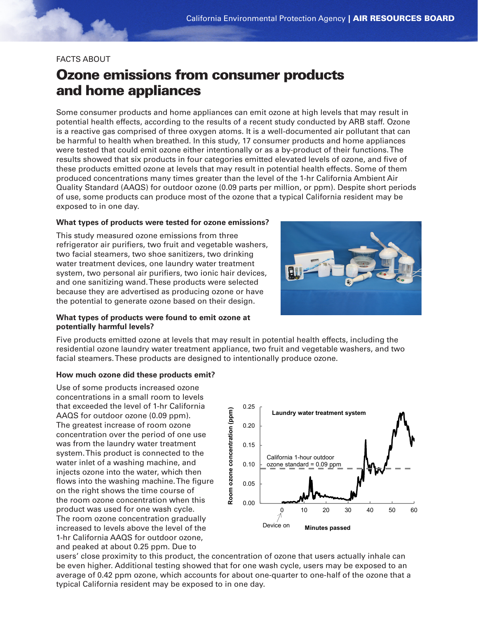## FACTS ABOUT

# Ozone emissions from consumer products and home appliances

Some consumer products and home appliances can emit ozone at high levels that may result in potential health effects, according to the results of a recent study conducted by ARB staff. Ozone is a reactive gas comprised of three oxygen atoms. It is a well-documented air pollutant that can be harmful to health when breathed. In this study, 17 consumer products and home appliances were tested that could emit ozone either intentionally or as a by-product of their functions. The results showed that six products in four categories emitted elevated levels of ozone, and five of these products emitted ozone at levels that may result in potential health effects. Some of them produced concentrations many times greater than the level of the 1-hr California Ambient Air Quality Standard (AAQS) for outdoor ozone (0.09 parts per million, or ppm). Despite short periods of use, some products can produce most of the ozone that a typical California resident may be exposed to in one day.

## **What types of products were tested for ozone emissions?**

This study measured ozone emissions from three refrigerator air purifiers, two fruit and vegetable washers, two facial steamers, two shoe sanitizers, two drinking water treatment devices, one laundry water treatment system, two personal air purifiers, two ionic hair devices, and one sanitizing wand. These products were selected because they are advertised as producing ozone or have the potential to generate ozone based on their design.



## **What types of products were found to emit ozone at potentially harmful levels?**

Five products emitted ozone at levels that may result in potential health effects, including the residential ozone laundry water treatment appliance, two fruit and vegetable washers, and two facial steamers. These products are designed to intentionally produce ozone.

#### **How much ozone did these products emit?**

Use of some products increased ozone concentrations in a small room to levels that exceeded the level of 1-hr California AAQS for outdoor ozone (0.09 ppm). The greatest increase of room ozone concentration over the period of one use was from the laundry water treatment system. This product is connected to the water inlet of a washing machine, and injects ozone into the water, which then flows into the washing machine. The figure on the right shows the time course of the room ozone concentration when this product was used for one wash cycle. The room ozone concentration gradually increased to levels above the level of the 1-hr California AAQS for outdoor ozone, and peaked at about 0.25 ppm. Due to



users' close proximity to this product, the concentration of ozone that users actually inhale can be even higher. Additional testing showed that for one wash cycle, users may be exposed to an average of 0.42 ppm ozone, which accounts for about one-quarter to one-half of the ozone that a typical California resident may be exposed to in one day.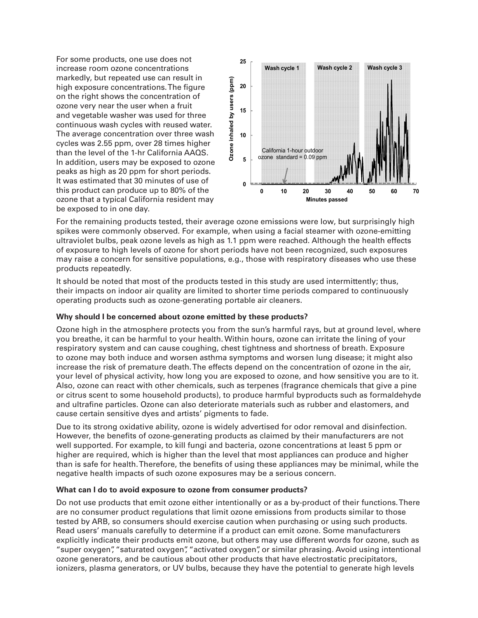For some products, one use does not increase room ozone concentrations markedly, but repeated use can result in high exposure concentrations. The figure on the right shows the concentration of ozone very near the user when a fruit and vegetable washer was used for three continuous wash cycles with reused water. The average concentration over three wash cycles was 2.55 ppm, over 28 times higher than the level of the 1-hr California AAQS. In addition, users may be exposed to ozone peaks as high as 20 ppm for short periods. It was estimated that 30 minutes of use of this product can produce up to 80% of the ozone that a typical California resident may be exposed to in one day.



For the remaining products tested, their average ozone emissions were low, but surprisingly high spikes were commonly observed. For example, when using a facial steamer with ozone-emitting ultraviolet bulbs, peak ozone levels as high as 1.1 ppm were reached. Although the health effects of exposure to high levels of ozone for short periods have not been recognized, such exposures may raise a concern for sensitive populations, e.g., those with respiratory diseases who use these products repeatedly.

It should be noted that most of the products tested in this study are used intermittently; thus, their impacts on indoor air quality are limited to shorter time periods compared to continuously operating products such as ozone-generating portable air cleaners.

## **Why should I be concerned about ozone emitted by these products?**

Ozone high in the atmosphere protects you from the sun's harmful rays, but at ground level, where you breathe, it can be harmful to your health. Within hours, ozone can irritate the lining of your respiratory system and can cause coughing, chest tightness and shortness of breath. Exposure to ozone may both induce and worsen asthma symptoms and worsen lung disease; it might also increase the risk of premature death. The effects depend on the concentration of ozone in the air, your level of physical activity, how long you are exposed to ozone, and how sensitive you are to it. Also, ozone can react with other chemicals, such as terpenes (fragrance chemicals that give a pine or citrus scent to some household products), to produce harmful byproducts such as formaldehyde and ultrafine particles. Ozone can also deteriorate materials such as rubber and elastomers, and cause certain sensitive dyes and artists' pigments to fade.

Due to its strong oxidative ability, ozone is widely advertised for odor removal and disinfection. However, the benefits of ozone-generating products as claimed by their manufacturers are not well supported. For example, to kill fungi and bacteria, ozone concentrations at least 5 ppm or higher are required, which is higher than the level that most appliances can produce and higher than is safe for health. Therefore, the benefits of using these appliances may be minimal, while the negative health impacts of such ozone exposures may be a serious concern.

## **What can I do to avoid exposure to ozone from consumer products?**

Do not use products that emit ozone either intentionally or as a by-product of their functions. There are no consumer product regulations that limit ozone emissions from products similar to those tested by ARB, so consumers should exercise caution when purchasing or using such products. Read users' manuals carefully to determine if a product can emit ozone. Some manufacturers explicitly indicate their products emit ozone, but others may use different words for ozone, such as "super oxygen", "saturated oxygen", "activated oxygen", or similar phrasing. Avoid using intentional ozone generators, and be cautious about other products that have electrostatic precipitators, ionizers, plasma generators, or UV bulbs, because they have the potential to generate high levels